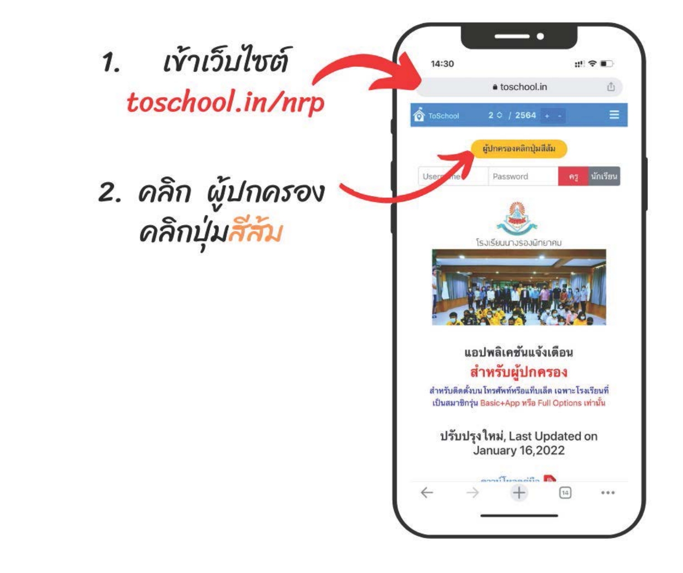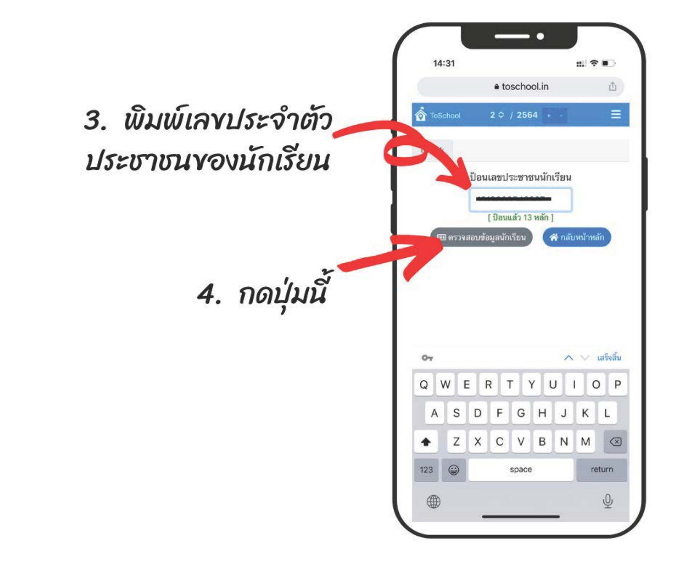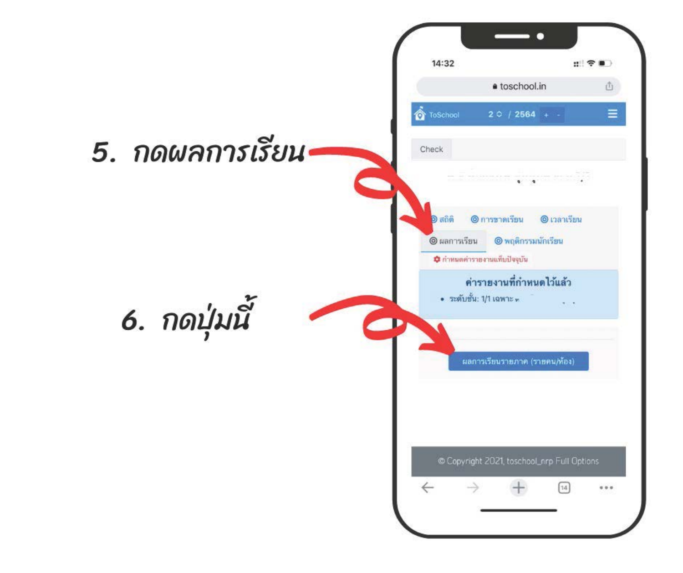